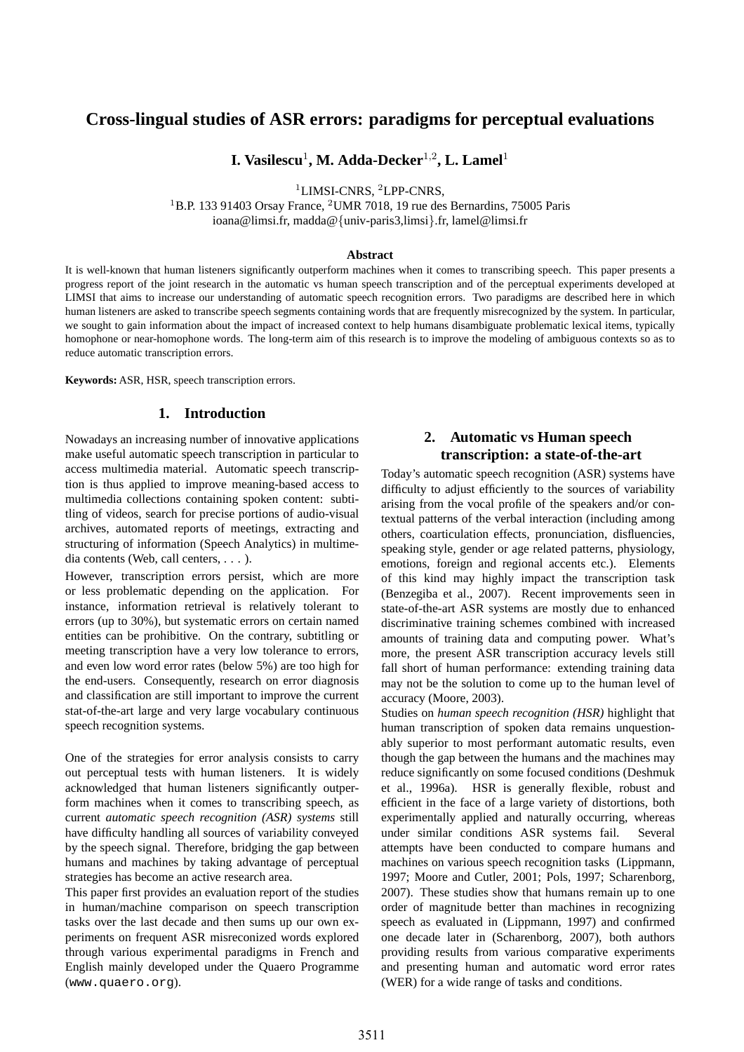# **Cross-lingual studies of ASR errors: paradigms for perceptual evaluations**

 $\mathbf{I.}\ \mathbf{V}$ asilescu<sup>1</sup>, M. Adda-Decker<sup>1,2</sup>, L. Lamel<sup>1</sup>

<sup>1</sup>LIMSI-CNRS, <sup>2</sup>LPP-CNRS,

<sup>1</sup>B.P. 133 91403 Orsay France, <sup>2</sup>UMR 7018, 19 rue des Bernardins, 75005 Paris ioana@limsi.fr, madda@{univ-paris3,limsi}.fr, lamel@limsi.fr

#### **Abstract**

It is well-known that human listeners significantly outperform machines when it comes to transcribing speech. This paper presents a progress report of the joint research in the automatic vs human speech transcription and of the perceptual experiments developed at LIMSI that aims to increase our understanding of automatic speech recognition errors. Two paradigms are described here in which human listeners are asked to transcribe speech segments containing words that are frequently misrecognized by the system. In particular, we sought to gain information about the impact of increased context to help humans disambiguate problematic lexical items, typically homophone or near-homophone words. The long-term aim of this research is to improve the modeling of ambiguous contexts so as to reduce automatic transcription errors.

**Keywords:** ASR, HSR, speech transcription errors.

## **1. Introduction**

Nowadays an increasing number of innovative applications make useful automatic speech transcription in particular to access multimedia material. Automatic speech transcription is thus applied to improve meaning-based access to multimedia collections containing spoken content: subtitling of videos, search for precise portions of audio-visual archives, automated reports of meetings, extracting and structuring of information (Speech Analytics) in multimedia contents (Web, call centers, . . . ).

However, transcription errors persist, which are more or less problematic depending on the application. For instance, information retrieval is relatively tolerant to errors (up to 30%), but systematic errors on certain named entities can be prohibitive. On the contrary, subtitling or meeting transcription have a very low tolerance to errors, and even low word error rates (below 5%) are too high for the end-users. Consequently, research on error diagnosis and classification are still important to improve the current stat-of-the-art large and very large vocabulary continuous speech recognition systems.

One of the strategies for error analysis consists to carry out perceptual tests with human listeners. It is widely acknowledged that human listeners significantly outperform machines when it comes to transcribing speech, as current *automatic speech recognition (ASR) systems* still have difficulty handling all sources of variability conveyed by the speech signal. Therefore, bridging the gap between humans and machines by taking advantage of perceptual strategies has become an active research area.

This paper first provides an evaluation report of the studies in human/machine comparison on speech transcription tasks over the last decade and then sums up our own experiments on frequent ASR misreconized words explored through various experimental paradigms in French and English mainly developed under the Quaero Programme (www.quaero.org).

# **2. Automatic vs Human speech transcription: a state-of-the-art**

Today's automatic speech recognition (ASR) systems have difficulty to adjust efficiently to the sources of variability arising from the vocal profile of the speakers and/or contextual patterns of the verbal interaction (including among others, coarticulation effects, pronunciation, disfluencies, speaking style, gender or age related patterns, physiology, emotions, foreign and regional accents etc.). Elements of this kind may highly impact the transcription task (Benzegiba et al., 2007). Recent improvements seen in state-of-the-art ASR systems are mostly due to enhanced discriminative training schemes combined with increased amounts of training data and computing power. What's more, the present ASR transcription accuracy levels still fall short of human performance: extending training data may not be the solution to come up to the human level of accuracy (Moore, 2003).

Studies on *human speech recognition (HSR)* highlight that human transcription of spoken data remains unquestionably superior to most performant automatic results, even though the gap between the humans and the machines may reduce significantly on some focused conditions (Deshmuk et al., 1996a). HSR is generally flexible, robust and efficient in the face of a large variety of distortions, both experimentally applied and naturally occurring, whereas under similar conditions ASR systems fail. Several attempts have been conducted to compare humans and machines on various speech recognition tasks (Lippmann, 1997; Moore and Cutler, 2001; Pols, 1997; Scharenborg, 2007). These studies show that humans remain up to one order of magnitude better than machines in recognizing speech as evaluated in (Lippmann, 1997) and confirmed one decade later in (Scharenborg, 2007), both authors providing results from various comparative experiments and presenting human and automatic word error rates (WER) for a wide range of tasks and conditions.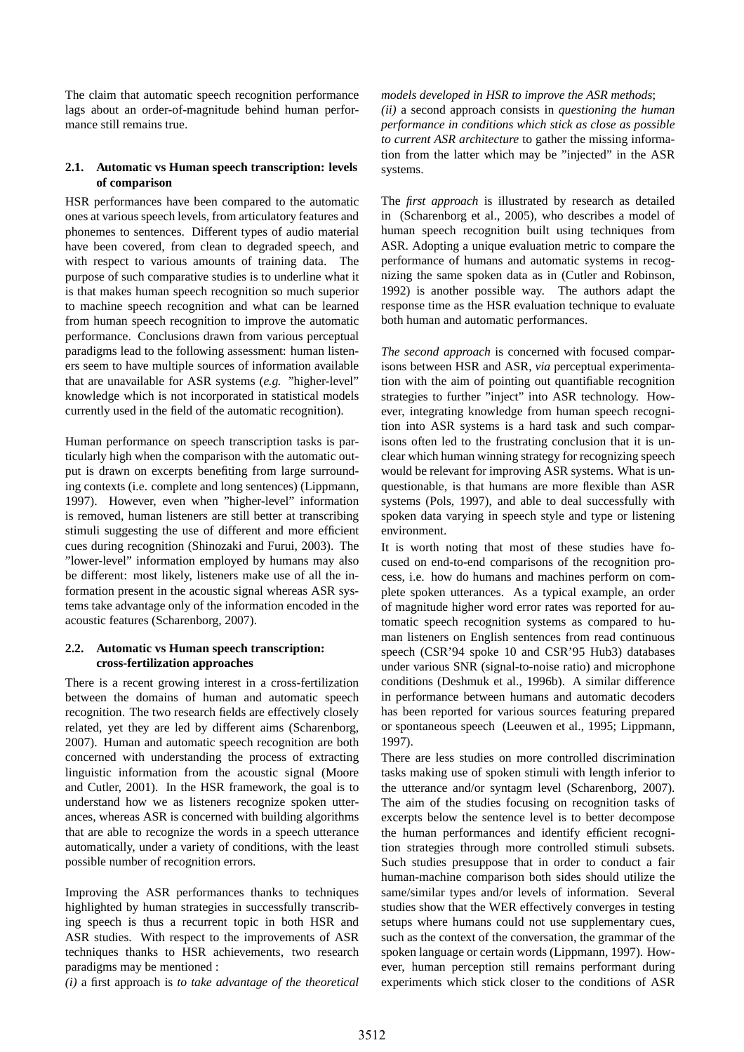The claim that automatic speech recognition performance lags about an order-of-magnitude behind human performance still remains true.

## **2.1. Automatic vs Human speech transcription: levels of comparison**

HSR performances have been compared to the automatic ones at various speech levels, from articulatory features and phonemes to sentences. Different types of audio material have been covered, from clean to degraded speech, and with respect to various amounts of training data. The purpose of such comparative studies is to underline what it is that makes human speech recognition so much superior to machine speech recognition and what can be learned from human speech recognition to improve the automatic performance. Conclusions drawn from various perceptual paradigms lead to the following assessment: human listeners seem to have multiple sources of information available that are unavailable for ASR systems (*e.g.* "higher-level" knowledge which is not incorporated in statistical models currently used in the field of the automatic recognition).

Human performance on speech transcription tasks is particularly high when the comparison with the automatic output is drawn on excerpts benefiting from large surrounding contexts (i.e. complete and long sentences) (Lippmann, 1997). However, even when "higher-level" information is removed, human listeners are still better at transcribing stimuli suggesting the use of different and more efficient cues during recognition (Shinozaki and Furui, 2003). The "lower-level" information employed by humans may also be different: most likely, listeners make use of all the information present in the acoustic signal whereas ASR systems take advantage only of the information encoded in the acoustic features (Scharenborg, 2007).

## **2.2. Automatic vs Human speech transcription: cross-fertilization approaches**

There is a recent growing interest in a cross-fertilization between the domains of human and automatic speech recognition. The two research fields are effectively closely related, yet they are led by different aims (Scharenborg, 2007). Human and automatic speech recognition are both concerned with understanding the process of extracting linguistic information from the acoustic signal (Moore and Cutler, 2001). In the HSR framework, the goal is to understand how we as listeners recognize spoken utterances, whereas ASR is concerned with building algorithms that are able to recognize the words in a speech utterance automatically, under a variety of conditions, with the least possible number of recognition errors.

Improving the ASR performances thanks to techniques highlighted by human strategies in successfully transcribing speech is thus a recurrent topic in both HSR and ASR studies. With respect to the improvements of ASR techniques thanks to HSR achievements, two research paradigms may be mentioned :

*(i)* a first approach is *to take advantage of the theoretical*

*models developed in HSR to improve the ASR methods*; *(ii)* a second approach consists in *questioning the human performance in conditions which stick as close as possible to current ASR architecture* to gather the missing information from the latter which may be "injected" in the ASR systems.

The *first approach* is illustrated by research as detailed in (Scharenborg et al., 2005), who describes a model of human speech recognition built using techniques from ASR. Adopting a unique evaluation metric to compare the performance of humans and automatic systems in recognizing the same spoken data as in (Cutler and Robinson, 1992) is another possible way. The authors adapt the response time as the HSR evaluation technique to evaluate both human and automatic performances.

*The second approach* is concerned with focused comparisons between HSR and ASR, *via* perceptual experimentation with the aim of pointing out quantifiable recognition strategies to further "inject" into ASR technology. However, integrating knowledge from human speech recognition into ASR systems is a hard task and such comparisons often led to the frustrating conclusion that it is unclear which human winning strategy for recognizing speech would be relevant for improving ASR systems. What is unquestionable, is that humans are more flexible than ASR systems (Pols, 1997), and able to deal successfully with spoken data varying in speech style and type or listening environment.

It is worth noting that most of these studies have focused on end-to-end comparisons of the recognition process, i.e. how do humans and machines perform on complete spoken utterances. As a typical example, an order of magnitude higher word error rates was reported for automatic speech recognition systems as compared to human listeners on English sentences from read continuous speech (CSR'94 spoke 10 and CSR'95 Hub3) databases under various SNR (signal-to-noise ratio) and microphone conditions (Deshmuk et al., 1996b). A similar difference in performance between humans and automatic decoders has been reported for various sources featuring prepared or spontaneous speech (Leeuwen et al., 1995; Lippmann, 1997).

There are less studies on more controlled discrimination tasks making use of spoken stimuli with length inferior to the utterance and/or syntagm level (Scharenborg, 2007). The aim of the studies focusing on recognition tasks of excerpts below the sentence level is to better decompose the human performances and identify efficient recognition strategies through more controlled stimuli subsets. Such studies presuppose that in order to conduct a fair human-machine comparison both sides should utilize the same/similar types and/or levels of information. Several studies show that the WER effectively converges in testing setups where humans could not use supplementary cues, such as the context of the conversation, the grammar of the spoken language or certain words (Lippmann, 1997). However, human perception still remains performant during experiments which stick closer to the conditions of ASR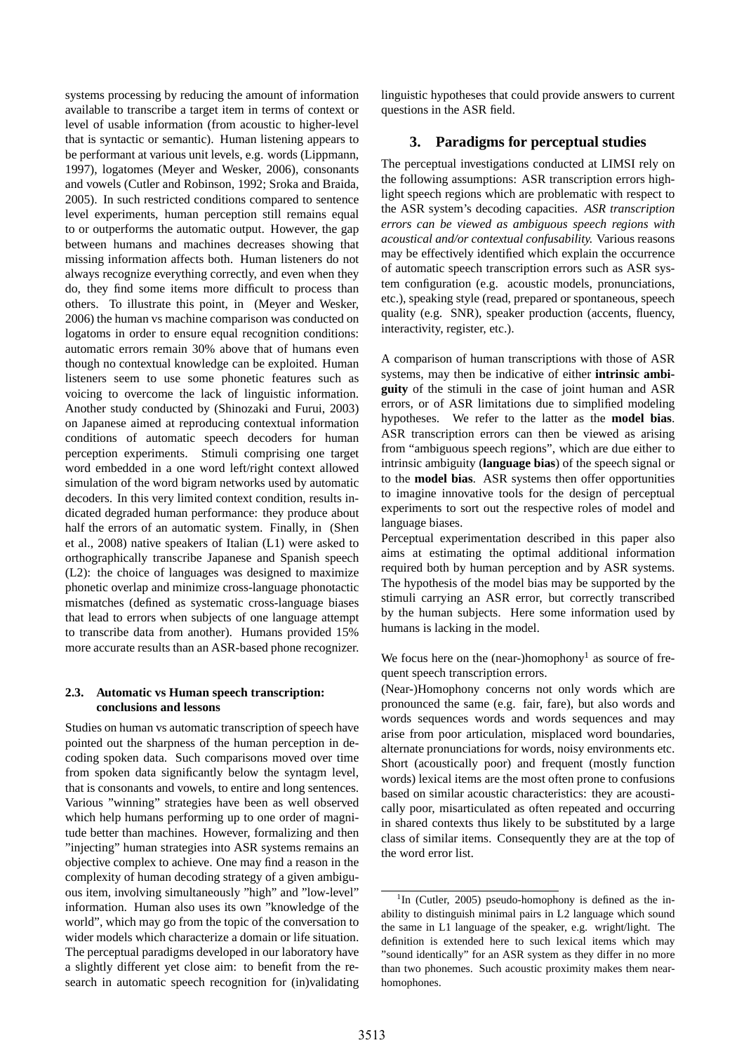systems processing by reducing the amount of information available to transcribe a target item in terms of context or level of usable information (from acoustic to higher-level that is syntactic or semantic). Human listening appears to be performant at various unit levels, e.g. words (Lippmann, 1997), logatomes (Meyer and Wesker, 2006), consonants and vowels (Cutler and Robinson, 1992; Sroka and Braida, 2005). In such restricted conditions compared to sentence level experiments, human perception still remains equal to or outperforms the automatic output. However, the gap between humans and machines decreases showing that missing information affects both. Human listeners do not always recognize everything correctly, and even when they do, they find some items more difficult to process than others. To illustrate this point, in (Meyer and Wesker, 2006) the human vs machine comparison was conducted on logatoms in order to ensure equal recognition conditions: automatic errors remain 30% above that of humans even though no contextual knowledge can be exploited. Human listeners seem to use some phonetic features such as voicing to overcome the lack of linguistic information. Another study conducted by (Shinozaki and Furui, 2003) on Japanese aimed at reproducing contextual information conditions of automatic speech decoders for human perception experiments. Stimuli comprising one target word embedded in a one word left/right context allowed simulation of the word bigram networks used by automatic decoders. In this very limited context condition, results indicated degraded human performance: they produce about half the errors of an automatic system. Finally, in (Shen et al., 2008) native speakers of Italian (L1) were asked to orthographically transcribe Japanese and Spanish speech (L2): the choice of languages was designed to maximize phonetic overlap and minimize cross-language phonotactic mismatches (defined as systematic cross-language biases that lead to errors when subjects of one language attempt to transcribe data from another). Humans provided 15% more accurate results than an ASR-based phone recognizer.

### **2.3. Automatic vs Human speech transcription: conclusions and lessons**

Studies on human vs automatic transcription of speech have pointed out the sharpness of the human perception in decoding spoken data. Such comparisons moved over time from spoken data significantly below the syntagm level, that is consonants and vowels, to entire and long sentences. Various "winning" strategies have been as well observed which help humans performing up to one order of magnitude better than machines. However, formalizing and then "injecting" human strategies into ASR systems remains an objective complex to achieve. One may find a reason in the complexity of human decoding strategy of a given ambiguous item, involving simultaneously "high" and "low-level" information. Human also uses its own "knowledge of the world", which may go from the topic of the conversation to wider models which characterize a domain or life situation. The perceptual paradigms developed in our laboratory have a slightly different yet close aim: to benefit from the research in automatic speech recognition for (in)validating

linguistic hypotheses that could provide answers to current questions in the ASR field.

## **3. Paradigms for perceptual studies**

The perceptual investigations conducted at LIMSI rely on the following assumptions: ASR transcription errors highlight speech regions which are problematic with respect to the ASR system's decoding capacities. *ASR transcription errors can be viewed as ambiguous speech regions with acoustical and/or contextual confusability.* Various reasons may be effectively identified which explain the occurrence of automatic speech transcription errors such as ASR system configuration (e.g. acoustic models, pronunciations, etc.), speaking style (read, prepared or spontaneous, speech quality (e.g. SNR), speaker production (accents, fluency, interactivity, register, etc.).

A comparison of human transcriptions with those of ASR systems, may then be indicative of either **intrinsic ambiguity** of the stimuli in the case of joint human and ASR errors, or of ASR limitations due to simplified modeling hypotheses. We refer to the latter as the **model bias**. ASR transcription errors can then be viewed as arising from "ambiguous speech regions", which are due either to intrinsic ambiguity (**language bias**) of the speech signal or to the **model bias**. ASR systems then offer opportunities to imagine innovative tools for the design of perceptual experiments to sort out the respective roles of model and language biases.

Perceptual experimentation described in this paper also aims at estimating the optimal additional information required both by human perception and by ASR systems. The hypothesis of the model bias may be supported by the stimuli carrying an ASR error, but correctly transcribed by the human subjects. Here some information used by humans is lacking in the model.

We focus here on the (near-)homophony<sup>1</sup> as source of frequent speech transcription errors.

(Near-)Homophony concerns not only words which are pronounced the same (e.g. fair, fare), but also words and words sequences words and words sequences and may arise from poor articulation, misplaced word boundaries, alternate pronunciations for words, noisy environments etc. Short (acoustically poor) and frequent (mostly function words) lexical items are the most often prone to confusions based on similar acoustic characteristics: they are acoustically poor, misarticulated as often repeated and occurring in shared contexts thus likely to be substituted by a large class of similar items. Consequently they are at the top of the word error list.

<sup>&</sup>lt;sup>1</sup>In (Cutler, 2005) pseudo-homophony is defined as the inability to distinguish minimal pairs in L2 language which sound the same in L1 language of the speaker, e.g. wright/light. The definition is extended here to such lexical items which may "sound identically" for an ASR system as they differ in no more than two phonemes. Such acoustic proximity makes them nearhomophones.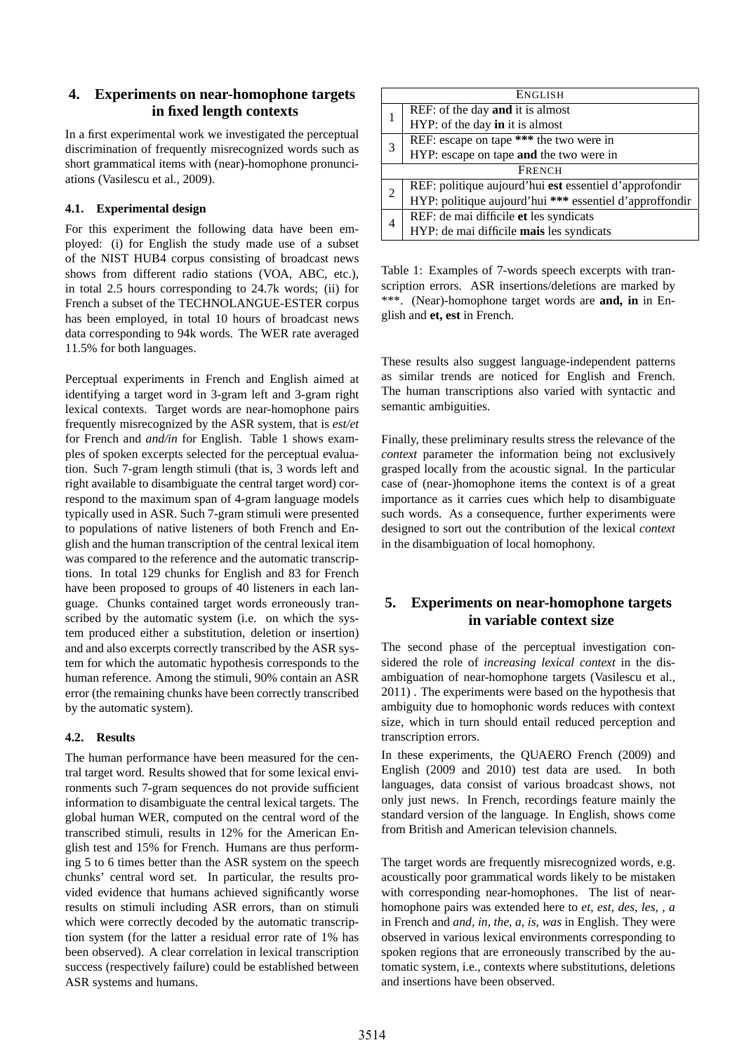# **4. Experiments on near-homophone targets in fixed length contexts**

In a first experimental work we investigated the perceptual discrimination of frequently misrecognized words such as short grammatical items with (near)-homophone pronunciations (Vasilescu et al., 2009).

## **4.1. Experimental design**

For this experiment the following data have been employed: (i) for English the study made use of a subset of the NIST HUB4 corpus consisting of broadcast news shows from different radio stations (VOA, ABC, etc.), in total 2.5 hours corresponding to 24.7k words; (ii) for French a subset of the TECHNOLANGUE-ESTER corpus has been employed, in total 10 hours of broadcast news data corresponding to 94k words. The WER rate averaged 11.5% for both languages.

Perceptual experiments in French and English aimed at identifying a target word in 3-gram left and 3-gram right lexical contexts. Target words are near-homophone pairs frequently misrecognized by the ASR system, that is *est/et* for French and *and/in* for English. Table 1 shows examples of spoken excerpts selected for the perceptual evaluation. Such 7-gram length stimuli (that is, 3 words left and right available to disambiguate the central target word) correspond to the maximum span of 4-gram language models typically used in ASR. Such 7-gram stimuli were presented to populations of native listeners of both French and English and the human transcription of the central lexical item was compared to the reference and the automatic transcriptions. In total 129 chunks for English and 83 for French have been proposed to groups of 40 listeners in each language. Chunks contained target words erroneously transcribed by the automatic system (i.e. on which the system produced either a substitution, deletion or insertion) and and also excerpts correctly transcribed by the ASR system for which the automatic hypothesis corresponds to the human reference. Among the stimuli, 90% contain an ASR error (the remaining chunks have been correctly transcribed by the automatic system).

## **4.2. Results**

The human performance have been measured for the central target word. Results showed that for some lexical environments such 7-gram sequences do not provide sufficient information to disambiguate the central lexical targets. The global human WER, computed on the central word of the transcribed stimuli, results in 12% for the American English test and 15% for French. Humans are thus performing 5 to 6 times better than the ASR system on the speech chunks' central word set. In particular, the results provided evidence that humans achieved significantly worse results on stimuli including ASR errors, than on stimuli which were correctly decoded by the automatic transcription system (for the latter a residual error rate of 1% has been observed). A clear correlation in lexical transcription success (respectively failure) could be established between ASR systems and humans.

| <b>ENGLISH</b> |                                                         |  |  |  |  |
|----------------|---------------------------------------------------------|--|--|--|--|
|                | REF: of the day <b>and</b> it is almost                 |  |  |  |  |
|                | HYP: of the day in it is almost                         |  |  |  |  |
| 3              | REF: escape on tape *** the two were in                 |  |  |  |  |
|                | HYP: escape on tape and the two were in                 |  |  |  |  |
| <b>FRENCH</b>  |                                                         |  |  |  |  |
| $\overline{2}$ | REF: politique aujourd'hui est essentiel d'approfondir  |  |  |  |  |
|                | HYP: politique aujourd'hui *** essentiel d'approffondir |  |  |  |  |
| 4              | REF: de mai difficile et les syndicats                  |  |  |  |  |
|                | HYP: de mai difficile mais les syndicats                |  |  |  |  |

Table 1: Examples of 7-words speech excerpts with transcription errors. ASR insertions/deletions are marked by \*\*\*. (Near)-homophone target words are **and, in** in English and **et, est** in French.

These results also suggest language-independent patterns as similar trends are noticed for English and French. The human transcriptions also varied with syntactic and semantic ambiguities.

Finally, these preliminary results stress the relevance of the *context* parameter the information being not exclusively grasped locally from the acoustic signal. In the particular case of (near-)homophone items the context is of a great importance as it carries cues which help to disambiguate such words. As a consequence, further experiments were designed to sort out the contribution of the lexical *context* in the disambiguation of local homophony.

# **5. Experiments on near-homophone targets in variable context size**

The second phase of the perceptual investigation considered the role of *increasing lexical context* in the disambiguation of near-homophone targets (Vasilescu et al., 2011) . The experiments were based on the hypothesis that ambiguity due to homophonic words reduces with context size, which in turn should entail reduced perception and transcription errors.

In these experiments, the QUAERO French (2009) and English (2009 and 2010) test data are used. In both languages, data consist of various broadcast shows, not only just news. In French, recordings feature mainly the standard version of the language. In English, shows come from British and American television channels.

The target words are frequently misrecognized words, e.g. acoustically poor grammatical words likely to be mistaken with corresponding near-homophones. The list of nearhomophone pairs was extended here to *et, est, des, les, , a* in French and *and, in, the, a, is, was* in English. They were observed in various lexical environments corresponding to spoken regions that are erroneously transcribed by the automatic system, i.e., contexts where substitutions, deletions and insertions have been observed.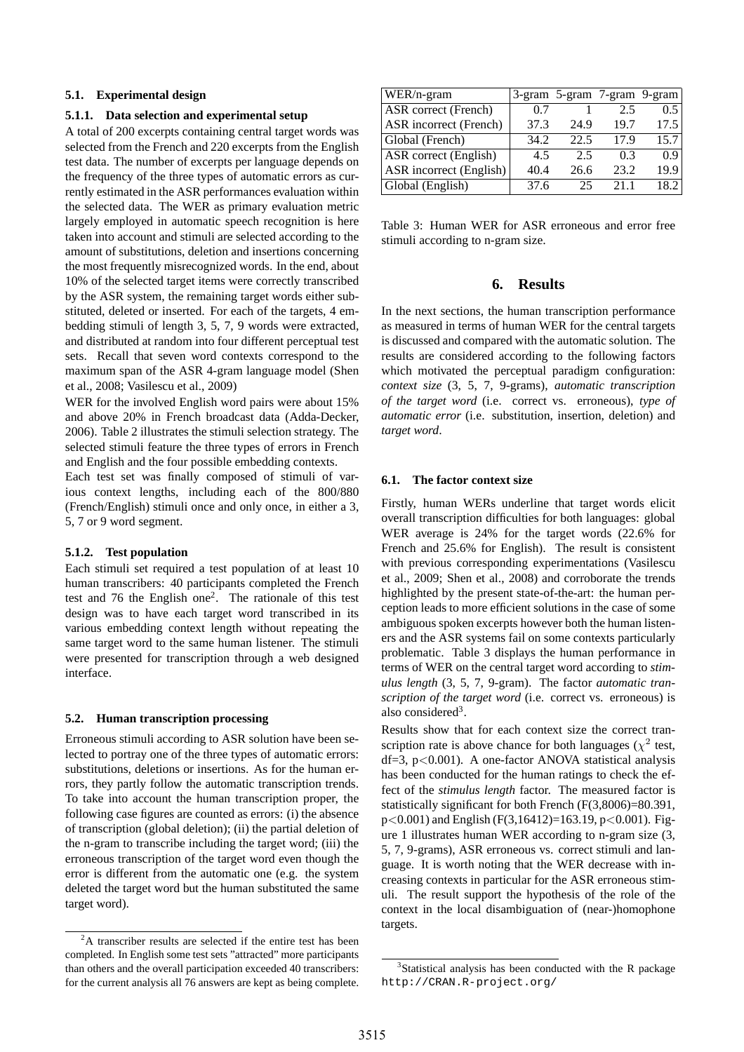## **5.1. Experimental design**

#### **5.1.1. Data selection and experimental setup**

A total of 200 excerpts containing central target words was selected from the French and 220 excerpts from the English test data. The number of excerpts per language depends on the frequency of the three types of automatic errors as currently estimated in the ASR performances evaluation within the selected data. The WER as primary evaluation metric largely employed in automatic speech recognition is here taken into account and stimuli are selected according to the amount of substitutions, deletion and insertions concerning the most frequently misrecognized words. In the end, about 10% of the selected target items were correctly transcribed by the ASR system, the remaining target words either substituted, deleted or inserted. For each of the targets, 4 embedding stimuli of length 3, 5, 7, 9 words were extracted, and distributed at random into four different perceptual test sets. Recall that seven word contexts correspond to the maximum span of the ASR 4-gram language model (Shen et al., 2008; Vasilescu et al., 2009)

WER for the involved English word pairs were about 15% and above 20% in French broadcast data (Adda-Decker, 2006). Table 2 illustrates the stimuli selection strategy. The selected stimuli feature the three types of errors in French and English and the four possible embedding contexts.

Each test set was finally composed of stimuli of various context lengths, including each of the 800/880 (French/English) stimuli once and only once, in either a 3, 5, 7 or 9 word segment.

#### **5.1.2. Test population**

Each stimuli set required a test population of at least 10 human transcribers: 40 participants completed the French test and 76 the English one<sup>2</sup>. The rationale of this test design was to have each target word transcribed in its various embedding context length without repeating the same target word to the same human listener. The stimuli were presented for transcription through a web designed interface.

#### **5.2. Human transcription processing**

Erroneous stimuli according to ASR solution have been selected to portray one of the three types of automatic errors: substitutions, deletions or insertions. As for the human errors, they partly follow the automatic transcription trends. To take into account the human transcription proper, the following case figures are counted as errors: (i) the absence of transcription (global deletion); (ii) the partial deletion of the n-gram to transcribe including the target word; (iii) the erroneous transcription of the target word even though the error is different from the automatic one (e.g. the system deleted the target word but the human substituted the same target word).

| WER/n-gram              |      | 3-gram 5-gram 7-gram 9-gram |      |      |
|-------------------------|------|-----------------------------|------|------|
| ASR correct (French)    | 0.7  |                             | 2.5  | 0.5  |
| ASR incorrect (French)  | 37.3 | 24.9                        | 19.7 | 17.5 |
| Global (French)         | 34.2 | 22.5                        | 17.9 | 15.7 |
| ASR correct (English)   | 4.5  | 2.5                         | 03   | 09   |
| ASR incorrect (English) | 40.4 | 26.6                        | 23.2 | 19.9 |
| Global (English)        | 37.6 | 25                          | 211  | 18.2 |

Table 3: Human WER for ASR erroneous and error free stimuli according to n-gram size.

### **6. Results**

In the next sections, the human transcription performance as measured in terms of human WER for the central targets is discussed and compared with the automatic solution. The results are considered according to the following factors which motivated the perceptual paradigm configuration: *context size* (3, 5, 7, 9-grams), *automatic transcription of the target word* (i.e. correct vs. erroneous), *type of automatic error* (i.e. substitution, insertion, deletion) and *target word*.

#### **6.1. The factor context size**

Firstly, human WERs underline that target words elicit overall transcription difficulties for both languages: global WER average is 24% for the target words (22.6% for French and 25.6% for English). The result is consistent with previous corresponding experimentations (Vasilescu et al., 2009; Shen et al., 2008) and corroborate the trends highlighted by the present state-of-the-art: the human perception leads to more efficient solutions in the case of some ambiguous spoken excerpts however both the human listeners and the ASR systems fail on some contexts particularly problematic. Table 3 displays the human performance in terms of WER on the central target word according to *stimulus length* (3, 5, 7, 9-gram). The factor *automatic transcription of the target word* (i.e. correct vs. erroneous) is also considered<sup>3</sup>.

Results show that for each context size the correct transcription rate is above chance for both languages ( $\chi^2$  test,  $df=3$ ,  $p<0.001$ ). A one-factor ANOVA statistical analysis has been conducted for the human ratings to check the effect of the *stimulus length* factor. The measured factor is statistically significant for both French (F(3,8006)=80.391,  $p<0.001$ ) and English (F(3,16412)=163.19,  $p<0.001$ ). Figure 1 illustrates human WER according to n-gram size (3, 5, 7, 9-grams), ASR erroneous vs. correct stimuli and language. It is worth noting that the WER decrease with increasing contexts in particular for the ASR erroneous stimuli. The result support the hypothesis of the role of the context in the local disambiguation of (near-)homophone targets.

 $2A$  transcriber results are selected if the entire test has been completed. In English some test sets "attracted" more participants than others and the overall participation exceeded 40 transcribers: for the current analysis all 76 answers are kept as being complete.

<sup>&</sup>lt;sup>3</sup>Statistical analysis has been conducted with the R package http://CRAN.R-project.org/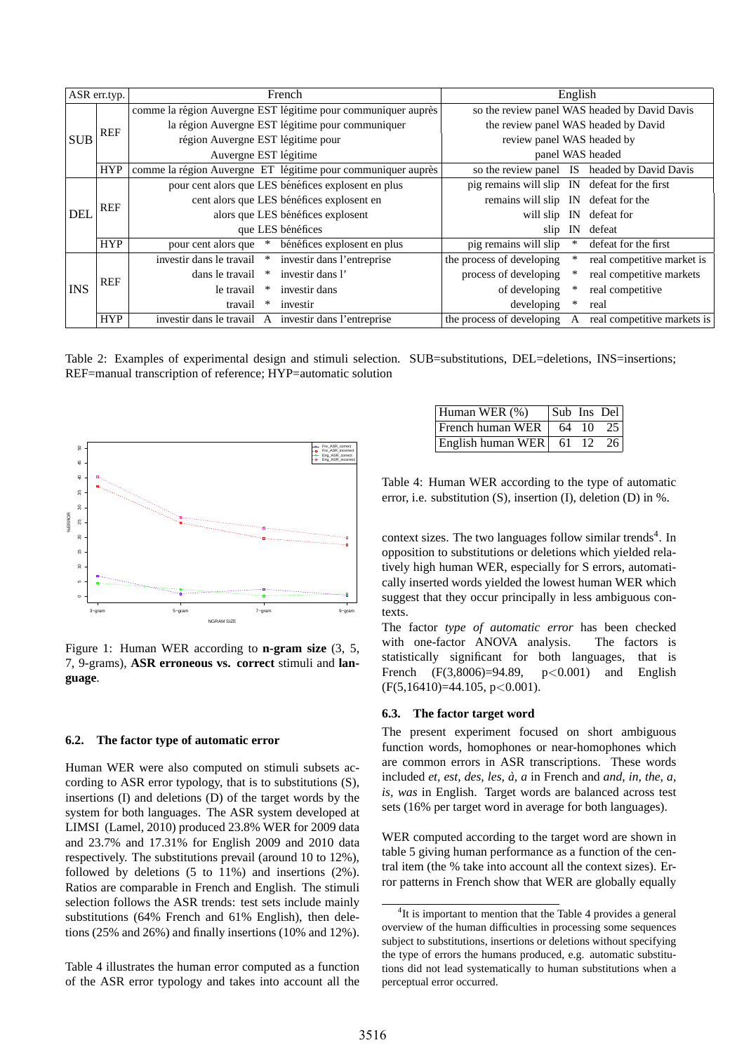| ASR err.typ. |            | French                             | English                                                       |                                               |        |                                               |
|--------------|------------|------------------------------------|---------------------------------------------------------------|-----------------------------------------------|--------|-----------------------------------------------|
| <b>SUB</b>   |            |                                    | comme la région Auvergne EST légitime pour communiquer auprès |                                               |        | so the review panel WAS headed by David Davis |
|              | <b>REF</b> |                                    | la région Auvergne EST légitime pour communiquer              |                                               |        | the review panel WAS headed by David          |
|              |            | région Auvergne EST légitime pour  |                                                               | review panel WAS headed by                    |        |                                               |
|              |            | Auvergne EST légitime              |                                                               | panel WAS headed                              |        |                                               |
|              | <b>HYP</b> |                                    | comme la région Auvergne ET légitime pour communiquer auprès  |                                               |        | so the review panel IS headed by David Davis  |
| <b>DEL</b>   |            |                                    | pour cent alors que LES bénéfices explosent en plus           | pig remains will slip IN defeat for the first |        |                                               |
|              | <b>REF</b> |                                    | cent alors que LES bénéfices explosent en                     | remains will slip IN                          |        | defeat for the                                |
|              |            |                                    | alors que LES bénéfices explosent                             | will slip                                     | IN     | defeat for                                    |
|              |            |                                    | que LES bénéfices                                             | slip                                          | IN     | defeat                                        |
|              | <b>HYP</b> | pour cent alors que<br>$\ast$      | bénéfices explosent en plus                                   | pig remains will slip                         |        | defeat for the first                          |
| <b>INS</b>   | <b>REF</b> | investir dans le travail<br>$\ast$ | investir dans l'entreprise                                    | the process of developing                     | $\ast$ | real competitive market is                    |
|              |            | dans le travail<br>∗               | investir dans l'                                              | process of developing                         |        | real competitive markets                      |
|              |            | le travail<br>∗                    | investir dans                                                 | of developing                                 |        | real competitive                              |
|              |            | travail<br>∗                       | investir                                                      | developing                                    | ∗      | real                                          |
|              | <b>HYP</b> |                                    | investir dans le travail A investir dans l'entreprise         | the process of developing                     | A      | real competitive markets is                   |

Table 2: Examples of experimental design and stimuli selection. SUB=substitutions, DEL=deletions, INS=insertions; REF=manual transcription of reference; HYP=automatic solution



Figure 1: Human WER according to **n-gram size** (3, 5, 7, 9-grams), **ASR erroneous vs. correct** stimuli and **language**.

### **6.2. The factor type of automatic error**

Human WER were also computed on stimuli subsets according to ASR error typology, that is to substitutions (S), insertions (I) and deletions (D) of the target words by the system for both languages. The ASR system developed at LIMSI (Lamel, 2010) produced 23.8% WER for 2009 data and 23.7% and 17.31% for English 2009 and 2010 data respectively. The substitutions prevail (around 10 to 12%), followed by deletions (5 to 11%) and insertions (2%). Ratios are comparable in French and English. The stimuli selection follows the ASR trends: test sets include mainly substitutions (64% French and 61% English), then deletions (25% and 26%) and finally insertions (10% and 12%).

Table 4 illustrates the human error computed as a function of the ASR error typology and takes into account all the

| Human WER (%)                     | Sub Ins Del |       |
|-----------------------------------|-------------|-------|
| French human WER $\vert$ 64 10 25 |             |       |
| $\text{English human WER}$ 61 12  |             | $-26$ |

Table 4: Human WER according to the type of automatic error, i.e. substitution (S), insertion (I), deletion (D) in %.

context sizes. The two languages follow similar trends<sup>4</sup>. In opposition to substitutions or deletions which yielded relatively high human WER, especially for S errors, automatically inserted words yielded the lowest human WER which suggest that they occur principally in less ambiguous contexts.

The factor *type of automatic error* has been checked with one-factor ANOVA analysis. The factors is statistically significant for both languages, that is French  $(F(3,8006)=94.89, p<0.001)$  and English  $(F(5,16410)=44.105, p<0.001)$ .

#### **6.3. The factor target word**

The present experiment focused on short ambiguous function words, homophones or near-homophones which are common errors in ASR transcriptions. These words included *et, est, des, les, a, a `* in French and *and, in, the, a, is, was* in English. Target words are balanced across test sets (16% per target word in average for both languages).

WER computed according to the target word are shown in table 5 giving human performance as a function of the central item (the % take into account all the context sizes). Error patterns in French show that WER are globally equally

 ${}^{4}$ It is important to mention that the Table 4 provides a general overview of the human difficulties in processing some sequences subject to substitutions, insertions or deletions without specifying the type of errors the humans produced, e.g. automatic substitutions did not lead systematically to human substitutions when a perceptual error occurred.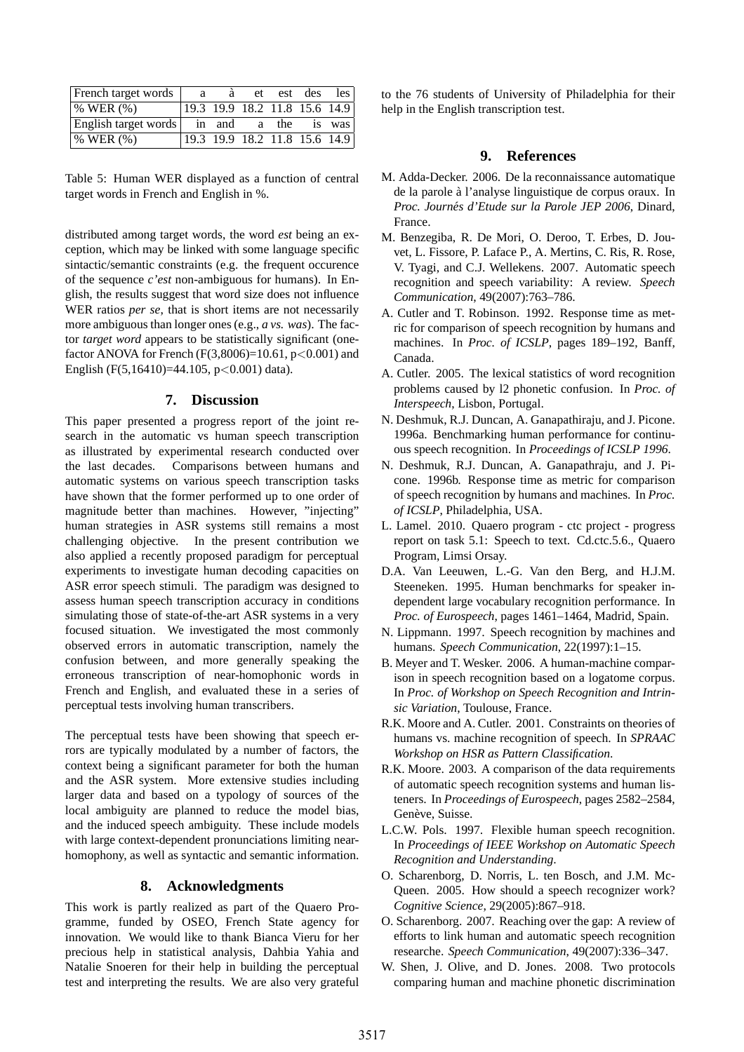| French target words               | a. | a. | et | est des                       | $\log$ |
|-----------------------------------|----|----|----|-------------------------------|--------|
| $\%$ WER $(\%)$                   |    |    |    | 19.3 19.9 18.2 11.8 15.6 14.9 |        |
| English target words in and a the |    |    |    |                               | is was |
| % WER(%)                          |    |    |    | 19.3 19.9 18.2 11.8 15.6 14.9 |        |

Table 5: Human WER displayed as a function of central target words in French and English in %.

distributed among target words, the word *est* being an exception, which may be linked with some language specific sintactic/semantic constraints (e.g. the frequent occurence of the sequence *c'est* non-ambiguous for humans). In English, the results suggest that word size does not influence WER ratios *per se*, that is short items are not necessarily more ambiguous than longer ones (e.g., *a vs. was*). The factor *target word* appears to be statistically significant (onefactor ANOVA for French (F(3,8006)=10.61,  $p < 0.001$ ) and English (F(5,16410)=44.105, p<0.001) data).

#### **7. Discussion**

This paper presented a progress report of the joint research in the automatic vs human speech transcription as illustrated by experimental research conducted over the last decades. Comparisons between humans and automatic systems on various speech transcription tasks have shown that the former performed up to one order of magnitude better than machines. However, "injecting" human strategies in ASR systems still remains a most challenging objective. In the present contribution we also applied a recently proposed paradigm for perceptual experiments to investigate human decoding capacities on ASR error speech stimuli. The paradigm was designed to assess human speech transcription accuracy in conditions simulating those of state-of-the-art ASR systems in a very focused situation. We investigated the most commonly observed errors in automatic transcription, namely the confusion between, and more generally speaking the erroneous transcription of near-homophonic words in French and English, and evaluated these in a series of perceptual tests involving human transcribers.

The perceptual tests have been showing that speech errors are typically modulated by a number of factors, the context being a significant parameter for both the human and the ASR system. More extensive studies including larger data and based on a typology of sources of the local ambiguity are planned to reduce the model bias, and the induced speech ambiguity. These include models with large context-dependent pronunciations limiting nearhomophony, as well as syntactic and semantic information.

### **8. Acknowledgments**

This work is partly realized as part of the Quaero Programme, funded by OSEO, French State agency for innovation. We would like to thank Bianca Vieru for her precious help in statistical analysis, Dahbia Yahia and Natalie Snoeren for their help in building the perceptual test and interpreting the results. We are also very grateful to the 76 students of University of Philadelphia for their help in the English transcription test.

## **9. References**

- M. Adda-Decker. 2006. De la reconnaissance automatique de la parole à l'analyse linguistique de corpus oraux. In *Proc. Journés d'Etude sur la Parole JEP 2006*, Dinard, France.
- M. Benzegiba, R. De Mori, O. Deroo, T. Erbes, D. Jouvet, L. Fissore, P. Laface P., A. Mertins, C. Ris, R. Rose, V. Tyagi, and C.J. Wellekens. 2007. Automatic speech recognition and speech variability: A review. *Speech Communication*, 49(2007):763–786.
- A. Cutler and T. Robinson. 1992. Response time as metric for comparison of speech recognition by humans and machines. In *Proc. of ICSLP*, pages 189–192, Banff, Canada.
- A. Cutler. 2005. The lexical statistics of word recognition problems caused by l2 phonetic confusion. In *Proc. of Interspeech*, Lisbon, Portugal.
- N. Deshmuk, R.J. Duncan, A. Ganapathiraju, and J. Picone. 1996a. Benchmarking human performance for continuous speech recognition. In *Proceedings of ICSLP 1996*.
- N. Deshmuk, R.J. Duncan, A. Ganapathraju, and J. Picone. 1996b. Response time as metric for comparison of speech recognition by humans and machines. In *Proc. of ICSLP*, Philadelphia, USA.
- L. Lamel. 2010. Quaero program ctc project progress report on task 5.1: Speech to text. Cd.ctc.5.6., Quaero Program, Limsi Orsay.
- D.A. Van Leeuwen, L.-G. Van den Berg, and H.J.M. Steeneken. 1995. Human benchmarks for speaker independent large vocabulary recognition performance. In *Proc. of Eurospeech*, pages 1461–1464, Madrid, Spain.
- N. Lippmann. 1997. Speech recognition by machines and humans. *Speech Communication*, 22(1997):1–15.
- B. Meyer and T. Wesker. 2006. A human-machine comparison in speech recognition based on a logatome corpus. In *Proc. of Workshop on Speech Recognition and Intrinsic Variation*, Toulouse, France.
- R.K. Moore and A. Cutler. 2001. Constraints on theories of humans vs. machine recognition of speech. In *SPRAAC Workshop on HSR as Pattern Classification*.
- R.K. Moore. 2003. A comparison of the data requirements of automatic speech recognition systems and human listeners. In *Proceedings of Eurospeech*, pages 2582–2584, Genève, Suisse.
- L.C.W. Pols. 1997. Flexible human speech recognition. In *Proceedings of IEEE Workshop on Automatic Speech Recognition and Understanding*.
- O. Scharenborg, D. Norris, L. ten Bosch, and J.M. Mc-Queen. 2005. How should a speech recognizer work? *Cognitive Science*, 29(2005):867–918.
- O. Scharenborg. 2007. Reaching over the gap: A review of efforts to link human and automatic speech recognition researche. *Speech Communication*, 49(2007):336–347.
- W. Shen, J. Olive, and D. Jones. 2008. Two protocols comparing human and machine phonetic discrimination